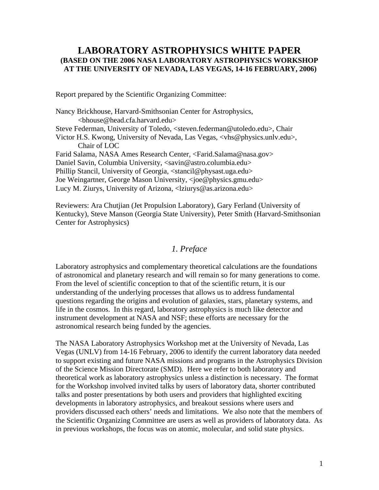## **LABORATORY ASTROPHYSICS WHITE PAPER (BASED ON THE 2006 NASA LABORATORY ASTROPHYSICS WORKSHOP AT THE UNIVERSITY OF NEVADA, LAS VEGAS, 14-16 FEBRUARY, 2006)**

Report prepared by the Scientific Organizing Committee:

Nancy Brickhouse, Harvard-Smithsonian Center for Astrophysics, <bhouse@head.cfa.harvard.edu> Steve Federman, University of Toledo, <steven.federman@utoledo.edu>, Chair Victor H.S. Kwong, University of Nevada, Las Vegas, <vhs@physics.unlv.edu>, Chair of LOC Farid Salama, NASA Ames Research Center, <Farid.Salama@nasa.gov> Daniel Savin, Columbia University, <savin@astro.columbia.edu> Phillip Stancil, University of Georgia, <stancil@physast.uga.edu> Joe Weingartner, George Mason University, <joe@physics.gmu.edu> Lucy M. Ziurys, University of Arizona, <lziurys@as.arizona.edu>

Reviewers: Ara Chutjian (Jet Propulsion Laboratory), Gary Ferland (University of Kentucky), Steve Manson (Georgia State University), Peter Smith (Harvard-Smithsonian Center for Astrophysics)

### *1. Preface*

Laboratory astrophysics and complementary theoretical calculations are the foundations of astronomical and planetary research and will remain so for many generations to come. From the level of scientific conception to that of the scientific return, it is our understanding of the underlying processes that allows us to address fundamental questions regarding the origins and evolution of galaxies, stars, planetary systems, and life in the cosmos. In this regard, laboratory astrophysics is much like detector and instrument development at NASA and NSF; these efforts are necessary for the astronomical research being funded by the agencies.

The NASA Laboratory Astrophysics Workshop met at the University of Nevada, Las Vegas (UNLV) from 14-16 February, 2006 to identify the current laboratory data needed to support existing and future NASA missions and programs in the Astrophysics Division of the Science Mission Directorate (SMD). Here we refer to both laboratory and theoretical work as laboratory astrophysics unless a distinction is necessary. The format for the Workshop involved invited talks by users of laboratory data, shorter contributed talks and poster presentations by both users and providers that highlighted exciting developments in laboratory astrophysics, and breakout sessions where users and providers discussed each others' needs and limitations. We also note that the members of the Scientific Organizing Committee are users as well as providers of laboratory data. As in previous workshops, the focus was on atomic, molecular, and solid state physics.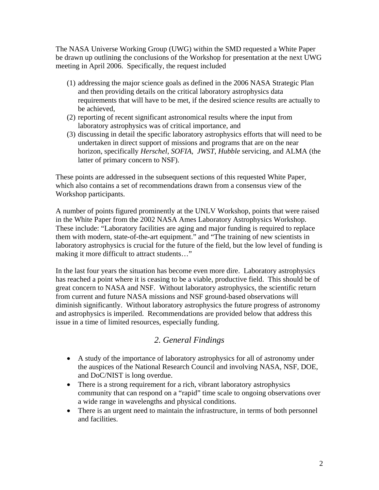The NASA Universe Working Group (UWG) within the SMD requested a White Paper be drawn up outlining the conclusions of the Workshop for presentation at the next UWG meeting in April 2006. Specifically, the request included

- (1) addressing the major science goals as defined in the 2006 NASA Strategic Plan and then providing details on the critical laboratory astrophysics data requirements that will have to be met, if the desired science results are actually to be achieved,
- (2) reporting of recent significant astronomical results where the input from laboratory astrophysics was of critical importance, and
- (3) discussing in detail the specific laboratory astrophysics efforts that will need to be undertaken in direct support of missions and programs that are on the near horizon, specifically *Herschel*, *SOFIA*, *JWST*, *Hubble* servicing, and ALMA (the latter of primary concern to NSF).

These points are addressed in the subsequent sections of this requested White Paper, which also contains a set of recommendations drawn from a consensus view of the Workshop participants.

A number of points figured prominently at the UNLV Workshop, points that were raised in the White Paper from the 2002 NASA Ames Laboratory Astrophysics Workshop. These include: "Laboratory facilities are aging and major funding is required to replace them with modern, state-of-the-art equipment." and "The training of new scientists in laboratory astrophysics is crucial for the future of the field, but the low level of funding is making it more difficult to attract students…"

In the last four years the situation has become even more dire. Laboratory astrophysics has reached a point where it is ceasing to be a viable, productive field. This should be of great concern to NASA and NSF. Without laboratory astrophysics, the scientific return from current and future NASA missions and NSF ground-based observations will diminish significantly. Without laboratory astrophysics the future progress of astronomy and astrophysics is imperiled. Recommendations are provided below that address this issue in a time of limited resources, especially funding.

# *2. General Findings*

- A study of the importance of laboratory astrophysics for all of astronomy under the auspices of the National Research Council and involving NASA, NSF, DOE, and DoC/NIST is long overdue.
- There is a strong requirement for a rich, vibrant laboratory astrophysics community that can respond on a "rapid" time scale to ongoing observations over a wide range in wavelengths and physical conditions.
- There is an urgent need to maintain the infrastructure, in terms of both personnel and facilities.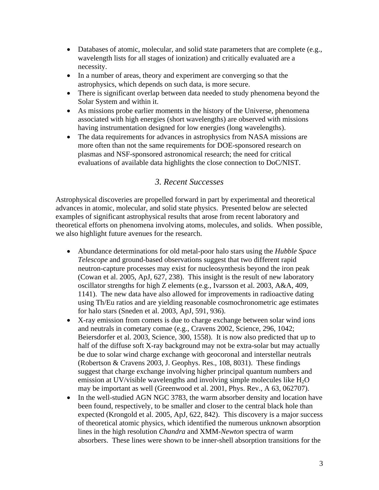- Databases of atomic, molecular, and solid state parameters that are complete (e.g., wavelength lists for all stages of ionization) and critically evaluated are a necessity.
- In a number of areas, theory and experiment are converging so that the astrophysics, which depends on such data, is more secure.
- There is significant overlap between data needed to study phenomena beyond the Solar System and within it.
- As missions probe earlier moments in the history of the Universe, phenomena associated with high energies (short wavelengths) are observed with missions having instrumentation designed for low energies (long wavelengths).
- The data requirements for advances in astrophysics from NASA missions are more often than not the same requirements for DOE-sponsored research on plasmas and NSF-sponsored astronomical research; the need for critical evaluations of available data highlights the close connection to DoC/NIST.

# *3. Recent Successes*

Astrophysical discoveries are propelled forward in part by experimental and theoretical advances in atomic, molecular, and solid state physics. Presented below are selected examples of significant astrophysical results that arose from recent laboratory and theoretical efforts on phenomena involving atoms, molecules, and solids. When possible, we also highlight future avenues for the research.

- Abundance determinations for old metal-poor halo stars using the *Hubble Space Telescope* and ground-based observations suggest that two different rapid neutron-capture processes may exist for nucleosynthesis beyond the iron peak (Cowan et al. 2005, ApJ, 627, 238). This insight is the result of new laboratory oscillator strengths for high Z elements (e.g., Ivarsson et al. 2003, A&A, 409, 1141). The new data have also allowed for improvements in radioactive dating using Th/Eu ratios and are yielding reasonable cosmochronometric age estimates for halo stars (Sneden et al. 2003, ApJ, 591, 936).
- X-ray emission from comets is due to charge exchange between solar wind ions and neutrals in cometary comae (e.g., Cravens 2002, Science, 296, 1042; Beiersdorfer et al. 2003, Science, 300, 1558). It is now also predicted that up to half of the diffuse soft X-ray background may not be extra-solar but may actually be due to solar wind charge exchange with geocoronal and interstellar neutrals (Robertson & Cravens 2003, J. Geophys. Res., 108, 8031). These findings suggest that charge exchange involving higher principal quantum numbers and emission at UV/visible wavelengths and involving simple molecules like  $H_2O$ may be important as well (Greenwood et al. 2001, Phys. Rev., A 63, 062707).
- In the well-studied AGN NGC 3783, the warm absorber density and location have been found, respectively, to be smaller and closer to the central black hole than expected (Krongold et al. 2005, ApJ, 622, 842). This discovery is a major success of theoretical atomic physics, which identified the numerous unknown absorption lines in the high resolution *Chandra* and XMM-*Newton* spectra of warm absorbers. These lines were shown to be inner-shell absorption transitions for the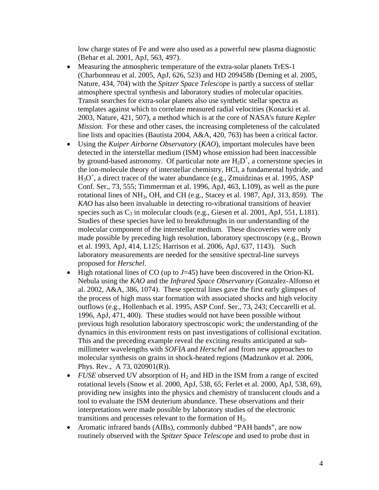low charge states of Fe and were also used as a powerful new plasma diagnostic (Behar et al. 2001, ApJ, 563, 497).

- Measuring the atmospheric temperature of the extra-solar planets TrES-1 (Charbonneau et al. 2005, ApJ, 626, 523) and HD 209458b (Deming et al. 2005, Nature, 434, 704) with the *Spitzer Space Telescope* is partly a success of stellar atmosphere spectral synthesis and laboratory studies of molecular opacities. Transit searches for extra-solar planets also use synthetic stellar spectra as templates against which to correlate measured radial velocities (Konacki et al. 2003, Nature, 421, 507), a method which is at the core of NASA's future *Kepler Mission*. For these and other cases, the increasing completeness of the calculated line lists and opacities (Bautista 2004, A&A, 420, 763) has been a critical factor.
- Using the *Kuiper Airborne Observatory* (*KAO*), important molecules have been detected in the interstellar medium (ISM) whose emission had been inaccessible by ground-based astronomy. Of particular note are  $H_2D^+$ , a cornerstone species in the ion-molecule theory of interstellar chemistry, HCl, a fundamental hydride, and  $H_3O^+$ , a direct tracer of the water abundance (e.g., Zmuidzinas et al. 1995, ASP Conf. Ser., 73, 555; Timmerman et al. 1996, ApJ, 463, L109), as well as the pure rotational lines of NH3, OH, and CH (e.g., Stacey et al. 1987, ApJ, 313, 859). The *KAO* has also been invaluable in detecting ro-vibrational transitions of heavier species such as  $C_3$  in molecular clouds (e.g., Giesen et al. 2001, ApJ, 551, L181). Studies of these species have led to breakthroughs in our understanding of the molecular component of the interstellar medium. These discoveries were only made possible by preceding high resolution, laboratory spectroscopy (e.g., Brown et al. 1993, ApJ, 414, L125; Harrison et al. 2006, ApJ, 637, 1143). Such laboratory measurements are needed for the sensitive spectral-line surveys proposed for *Herschel*.
- High rotational lines of CO (up to  $J=45$ ) have been discovered in the Orion-KL Nebula using the *KAO* and the *Infrared Space Observatory* (Gonzalez-Alfonso et al. 2002, A&A, 386, 1074). These spectral lines gave the first early glimpses of the process of high mass star formation with associated shocks and high velocity outflows (e.g., Hollenbach et al. 1995, ASP Conf. Ser., 73, 243; Ceccarelli et al. 1996, ApJ, 471, 400). These studies would not have been possible without previous high resolution laboratory spectroscopic work; the understanding of the dynamics in this environment rests on past investigations of collisional excitation. This and the preceding example reveal the exciting results anticipated at submillimeter wavelengths with *SOFIA* and *Herschel* and from new approaches to molecular synthesis on grains in shock-heated regions (Madzunkov et al. 2006, Phys. Rev., A 73, 020901(R)).
- *FUSE* observed UV absorption of  $H_2$  and HD in the ISM from a range of excited rotational levels (Snow et al. 2000, ApJ, 538, 65; Ferlet et al. 2000, ApJ, 538, 69), providing new insights into the physics and chemistry of translucent clouds and a tool to evaluate the ISM deuterium abundance. These observations and their interpretations were made possible by laboratory studies of the electronic transitions and processes relevant to the formation of  $H<sub>2</sub>$ .
- Aromatic infrared bands (AIBs), commonly dubbed "PAH bands", are now routinely observed with the *Spitzer Space Telescope* and used to probe dust in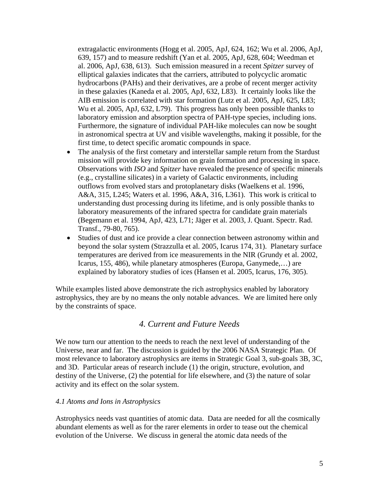extragalactic environments (Hogg et al. 2005, ApJ, 624, 162; Wu et al. 2006, ApJ, 639, 157) and to measure redshift (Yan et al. 2005, ApJ, 628, 604; Weedman et al. 2006, ApJ, 638, 613). Such emission measured in a recent *Spitzer* survey of elliptical galaxies indicates that the carriers, attributed to polycyclic aromatic hydrocarbons (PAHs) and their derivatives, are a probe of recent merger activity in these galaxies (Kaneda et al. 2005, ApJ, 632, L83). It certainly looks like the AIB emission is correlated with star formation (Lutz et al. 2005, ApJ, 625, L83; Wu et al. 2005, ApJ, 632, L79). This progress has only been possible thanks to laboratory emission and absorption spectra of PAH-type species, including ions. Furthermore, the signature of individual PAH-like molecules can now be sought in astronomical spectra at UV and visible wavelengths, making it possible, for the first time, to detect specific aromatic compounds in space.

- The analysis of the first cometary and interstellar sample return from the Stardust mission will provide key information on grain formation and processing in space. Observations with *ISO* and *Spitzer* have revealed the presence of specific minerals (e.g., crystalline silicates) in a variety of Galactic environments, including outflows from evolved stars and protoplanetary disks (Waelkens et al. 1996, A&A, 315, L245; Waters et al. 1996, A&A, 316, L361). This work is critical to understanding dust processing during its lifetime, and is only possible thanks to laboratory measurements of the infrared spectra for candidate grain materials (Begemann et al. 1994, ApJ, 423, L71; Jäger et al. 2003, J. Quant. Spectr. Rad. Transf., 79-80, 765).
- Studies of dust and ice provide a clear connection between astronomy within and beyond the solar system (Strazzulla et al. 2005, Icarus 174, 31). Planetary surface temperatures are derived from ice measurements in the NIR (Grundy et al. 2002, Icarus, 155, 486), while planetary atmospheres (Europa, Ganymede,…) are explained by laboratory studies of ices (Hansen et al. 2005, Icarus, 176, 305).

While examples listed above demonstrate the rich astrophysics enabled by laboratory astrophysics, they are by no means the only notable advances. We are limited here only by the constraints of space.

## *4. Current and Future Needs*

We now turn our attention to the needs to reach the next level of understanding of the Universe, near and far. The discussion is guided by the 2006 NASA Strategic Plan. Of most relevance to laboratory astrophysics are items in Strategic Goal 3, sub-goals 3B, 3C, and 3D. Particular areas of research include (1) the origin, structure, evolution, and destiny of the Universe, (2) the potential for life elsewhere, and (3) the nature of solar activity and its effect on the solar system.

#### *4.1 Atoms and Ions in Astrophysics*

Astrophysics needs vast quantities of atomic data. Data are needed for all the cosmically abundant elements as well as for the rarer elements in order to tease out the chemical evolution of the Universe. We discuss in general the atomic data needs of the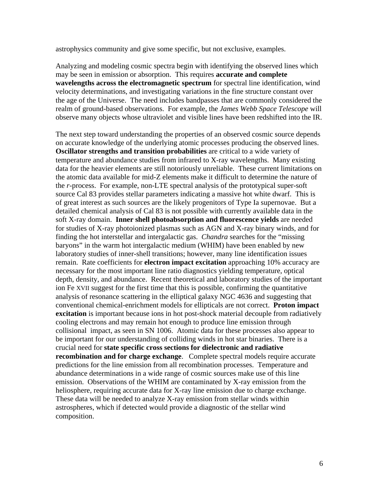astrophysics community and give some specific, but not exclusive, examples.

Analyzing and modeling cosmic spectra begin with identifying the observed lines which may be seen in emission or absorption. This requires **accurate and complete wavelengths across the electromagnetic spectrum** for spectral line identification, wind velocity determinations, and investigating variations in the fine structure constant over the age of the Universe. The need includes bandpasses that are commonly considered the realm of ground-based observations. For example, the *James Webb Space Telescope* will observe many objects whose ultraviolet and visible lines have been redshifted into the IR.

The next step toward understanding the properties of an observed cosmic source depends on accurate knowledge of the underlying atomic processes producing the observed lines. **Oscillator strengths and transition probabilities** are critical to a wide variety of temperature and abundance studies from infrared to X-ray wavelengths. Many existing data for the heavier elements are still notoriously unreliable. These current limitations on the atomic data available for mid-Z elements make it difficult to determine the nature of the *r*-process. For example, non-LTE spectral analysis of the prototypical super-soft source Cal 83 provides stellar parameters indicating a massive hot white dwarf. This is of great interest as such sources are the likely progenitors of Type Ia supernovae. But a detailed chemical analysis of Cal 83 is not possible with currently available data in the soft X-ray domain. **Inner shell photoabsorption and fluorescence yields** are needed for studies of X-ray photoionized plasmas such as AGN and X-ray binary winds, and for finding the hot interstellar and intergalactic gas. *Chandra* searches for the "missing baryons" in the warm hot intergalactic medium (WHIM) have been enabled by new laboratory studies of inner-shell transitions; however, many line identification issues remain. Rate coefficients for **electron impact excitation** approaching 10% accuracy are necessary for the most important line ratio diagnostics yielding temperature, optical depth, density, and abundance. Recent theoretical and laboratory studies of the important ion Fe XVII suggest for the first time that this is possible, confirming the quantitative analysis of resonance scattering in the elliptical galaxy NGC 4636 and suggesting that conventional chemical-enrichment models for ellipticals are not correct. **Proton impact excitation** is important because ions in hot post-shock material decouple from radiatively cooling electrons and may remain hot enough to produce line emission through collisional impact, as seen in SN 1006. Atomic data for these processes also appear to be important for our understanding of colliding winds in hot star binaries. There is a crucial need for **state specific cross sections for dielectronic and radiative recombination and for charge exchange**. Complete spectral models require accurate predictions for the line emission from all recombination processes. Temperature and abundance determinations in a wide range of cosmic sources make use of this line emission. Observations of the WHIM are contaminated by X-ray emission from the heliosphere, requiring accurate data for X-ray line emission due to charge exchange. These data will be needed to analyze X-ray emission from stellar winds within astrospheres, which if detected would provide a diagnostic of the stellar wind composition.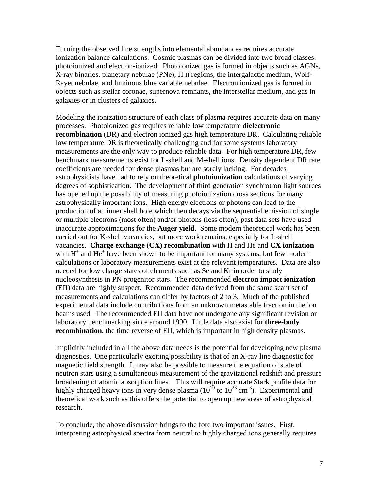Turning the observed line strengths into elemental abundances requires accurate ionization balance calculations. Cosmic plasmas can be divided into two broad classes: photoionized and electron-ionized. Photoionized gas is formed in objects such as AGNs, X-ray binaries, planetary nebulae (PNe), H II regions, the intergalactic medium, Wolf-Rayet nebulae, and luminous blue variable nebulae. Electron ionized gas is formed in objects such as stellar coronae, supernova remnants, the interstellar medium, and gas in galaxies or in clusters of galaxies.

Modeling the ionization structure of each class of plasma requires accurate data on many processes. Photoionized gas requires reliable low temperature **dielectronic recombination** (DR) and electron ionized gas high temperature DR. Calculating reliable low temperature DR is theoretically challenging and for some systems laboratory measurements are the only way to produce reliable data. For high temperature DR, few benchmark measurements exist for L-shell and M-shell ions. Density dependent DR rate coefficients are needed for dense plasmas but are sorely lacking. For decades astrophysicists have had to rely on theoretical **photoionization** calculations of varying degrees of sophistication. The development of third generation synchrotron light sources has opened up the possibility of measuring photoionization cross sections for many astrophysically important ions. High energy electrons or photons can lead to the production of an inner shell hole which then decays via the sequential emission of single or multiple electrons (most often) and/or photons (less often); past data sets have used inaccurate approximations for the **Auger yield**. Some modern theoretical work has been carried out for K-shell vacancies, but more work remains, especially for L-shell vacancies. **Charge exchange (CX) recombination** with H and He and **CX ionization** with  $H^+$  and  $He^+$  have been shown to be important for many systems, but few modern calculations or laboratory measurements exist at the relevant temperatures. Data are also needed for low charge states of elements such as Se and Kr in order to study nucleosynthesis in PN progenitor stars. The recommended **electron impact ionization** (EII) data are highly suspect. Recommended data derived from the same scant set of measurements and calculations can differ by factors of 2 to 3. Much of the published experimental data include contributions from an unknown metastable fraction in the ion beams used. The recommended EII data have not undergone any significant revision or laboratory benchmarking since around 1990. Little data also exist for **three-body recombination**, the time reverse of EII, which is important in high density plasmas.

Implicitly included in all the above data needs is the potential for developing new plasma diagnostics. One particularly exciting possibility is that of an X-ray line diagnostic for magnetic field strength. It may also be possible to measure the equation of state of neutron stars using a simultaneous measurement of the gravitational redshift and pressure broadening of atomic absorption lines. This will require accurate Stark profile data for highly charged heavy ions in very dense plasma  $(10^{19}$  to  $10^{23}$  cm<sup>-3</sup>). Experimental and theoretical work such as this offers the potential to open up new areas of astrophysical research.

To conclude, the above discussion brings to the fore two important issues. First, interpreting astrophysical spectra from neutral to highly charged ions generally requires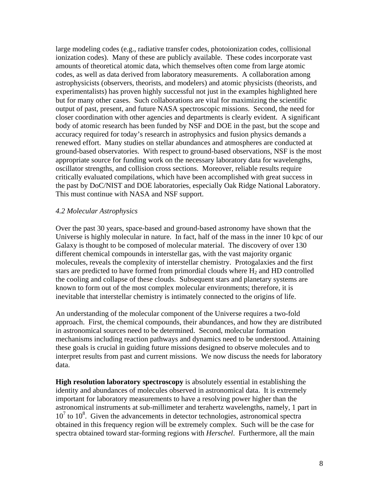large modeling codes (e.g., radiative transfer codes, photoionization codes, collisional ionization codes). Many of these are publicly available. These codes incorporate vast amounts of theoretical atomic data, which themselves often come from large atomic codes, as well as data derived from laboratory measurements. A collaboration among astrophysicists (observers, theorists, and modelers) and atomic physicists (theorists, and experimentalists) has proven highly successful not just in the examples highlighted here but for many other cases. Such collaborations are vital for maximizing the scientific output of past, present, and future NASA spectroscopic missions. Second, the need for closer coordination with other agencies and departments is clearly evident. A significant body of atomic research has been funded by NSF and DOE in the past, but the scope and accuracy required for today's research in astrophysics and fusion physics demands a renewed effort. Many studies on stellar abundances and atmospheres are conducted at ground-based observatories. With respect to ground-based observations, NSF is the most appropriate source for funding work on the necessary laboratory data for wavelengths, oscillator strengths, and collision cross sections. Moreover, reliable results require critically evaluated compilations, which have been accomplished with great success in the past by DoC/NIST and DOE laboratories, especially Oak Ridge National Laboratory. This must continue with NASA and NSF support.

#### *4.2 Molecular Astrophysics*

Over the past 30 years, space-based and ground-based astronomy have shown that the Universe is highly molecular in nature. In fact, half of the mass in the inner 10 kpc of our Galaxy is thought to be composed of molecular material. The discovery of over 130 different chemical compounds in interstellar gas, with the vast majority organic molecules, reveals the complexity of interstellar chemistry. Protogalaxies and the first stars are predicted to have formed from primordial clouds where  $H<sub>2</sub>$  and HD controlled the cooling and collapse of these clouds. Subsequent stars and planetary systems are known to form out of the most complex molecular environments; therefore, it is inevitable that interstellar chemistry is intimately connected to the origins of life.

An understanding of the molecular component of the Universe requires a two-fold approach. First, the chemical compounds, their abundances, and how they are distributed in astronomical sources need to be determined. Second, molecular formation mechanisms including reaction pathways and dynamics need to be understood. Attaining these goals is crucial in guiding future missions designed to observe molecules and to interpret results from past and current missions. We now discuss the needs for laboratory data.

**High resolution laboratory spectroscopy** is absolutely essential in establishing the identity and abundances of molecules observed in astronomical data. It is extremely important for laboratory measurements to have a resolving power higher than the astronomical instruments at sub-millimeter and terahertz wavelengths, namely, 1 part in  $10<sup>7</sup>$  to  $10<sup>8</sup>$ . Given the advancements in detector technologies, astronomical spectra obtained in this frequency region will be extremely complex. Such will be the case for spectra obtained toward star-forming regions with *Herschel*. Furthermore, all the main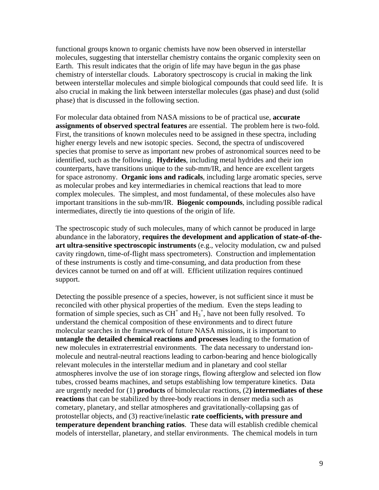functional groups known to organic chemists have now been observed in interstellar molecules, suggesting that interstellar chemistry contains the organic complexity seen on Earth. This result indicates that the origin of life may have begun in the gas phase chemistry of interstellar clouds. Laboratory spectroscopy is crucial in making the link between interstellar molecules and simple biological compounds that could seed life. It is also crucial in making the link between interstellar molecules (gas phase) and dust (solid phase) that is discussed in the following section.

For molecular data obtained from NASA missions to be of practical use, **accurate assignments of observed spectral features** are essential. The problem here is two-fold. First, the transitions of known molecules need to be assigned in these spectra, including higher energy levels and new isotopic species. Second, the spectra of undiscovered species that promise to serve as important new probes of astronomical sources need to be identified, such as the following. **Hydrides**, including metal hydrides and their ion counterparts, have transitions unique to the sub-mm/IR, and hence are excellent targets for space astronomy. **Organic ions and radicals**, including large aromatic species, serve as molecular probes and key intermediaries in chemical reactions that lead to more complex molecules. The simplest, and most fundamental, of these molecules also have important transitions in the sub-mm/IR. **Biogenic compounds**, including possible radical intermediates, directly tie into questions of the origin of life.

The spectroscopic study of such molecules, many of which cannot be produced in large abundance in the laboratory, **requires the development and application of state-of-theart ultra-sensitive spectroscopic instruments** (e.g., velocity modulation, cw and pulsed cavity ringdown, time-of-flight mass spectrometers). Construction and implementation of these instruments is costly and time-consuming, and data production from these devices cannot be turned on and off at will. Efficient utilization requires continued support.

Detecting the possible presence of a species, however, is not sufficient since it must be reconciled with other physical properties of the medium. Even the steps leading to formation of simple species, such as  $CH<sup>+</sup>$  and  $H<sub>3</sub><sup>+</sup>$ , have not been fully resolved. To understand the chemical composition of these environments and to direct future molecular searches in the framework of future NASA missions, it is important to **untangle the detailed chemical reactions and processes** leading to the formation of new molecules in extraterrestrial environments. The data necessary to understand ionmolecule and neutral-neutral reactions leading to carbon-bearing and hence biologically relevant molecules in the interstellar medium and in planetary and cool stellar atmospheres involve the use of ion storage rings, flowing afterglow and selected ion flow tubes, crossed beams machines, and setups establishing low temperature kinetics. Data are urgently needed for (1) **products** of bimolecular reactions, (2**) intermediates of these reactions** that can be stabilized by three-body reactions in denser media such as cometary, planetary, and stellar atmospheres and gravitationally-collapsing gas of protostellar objects, and (3) reactive/inelastic **rate coefficients, with pressure and temperature dependent branching ratios**. These data will establish credible chemical models of interstellar, planetary, and stellar environments. The chemical models in turn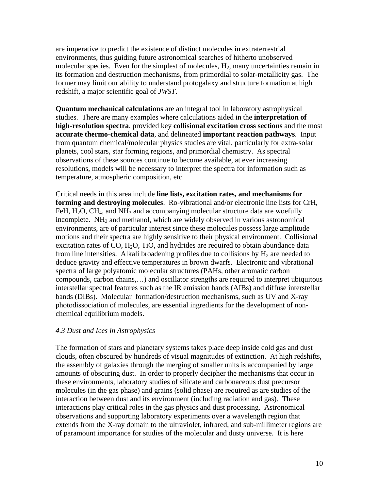are imperative to predict the existence of distinct molecules in extraterrestrial environments, thus guiding future astronomical searches of hitherto unobserved molecular species. Even for the simplest of molecules, H<sub>2</sub>, many uncertainties remain in its formation and destruction mechanisms, from primordial to solar-metallicity gas. The former may limit our ability to understand protogalaxy and structure formation at high redshift, a major scientific goal of *JWST*.

**Quantum mechanical calculations** are an integral tool in laboratory astrophysical studies. There are many examples where calculations aided in the **interpretation of high-resolution spectra**, provided key **collisional excitation cross sections** and the most **accurate thermo-chemical data**, and delineated **important reaction pathways**. Input from quantum chemical/molecular physics studies are vital, particularly for extra-solar planets, cool stars, star forming regions, and primordial chemistry. As spectral observations of these sources continue to become available, at ever increasing resolutions, models will be necessary to interpret the spectra for information such as temperature, atmospheric composition, etc.

Critical needs in this area include **line lists, excitation rates, and mechanisms for forming and destroying molecules**. Ro-vibrational and/or electronic line lists for CrH, FeH,  $H_2O$ , CH<sub>4</sub>, and NH<sub>3</sub> and accompanying molecular structure data are woefully incomplete.  $NH<sub>3</sub>$  and methanol, which are widely observed in various astronomical environments, are of particular interest since these molecules possess large amplitude motions and their spectra are highly sensitive to their physical environment. Collisional excitation rates of CO,  $H_2O$ , TiO, and hydrides are required to obtain abundance data from line intensities. Alkali broadening profiles due to collisions by  $H_2$  are needed to deduce gravity and effective temperatures in brown dwarfs.Electronic and vibrational spectra of large polyatomic molecular structures (PAHs, other aromatic carbon compounds, carbon chains,…) and oscillator strengths are required to interpret ubiquitous interstellar spectral features such as the IR emission bands (AIBs) and diffuse interstellar bands (DIBs). Molecular formation/destruction mechanisms, such as UV and X-ray photodissociation of molecules, are essential ingredients for the development of nonchemical equilibrium models.

#### *4.3 Dust and Ices in Astrophysics*

The formation of stars and planetary systems takes place deep inside cold gas and dust clouds, often obscured by hundreds of visual magnitudes of extinction. At high redshifts, the assembly of galaxies through the merging of smaller units is accompanied by large amounts of obscuring dust. In order to properly decipher the mechanisms that occur in these environments, laboratory studies of silicate and carbonaceous dust precursor molecules (in the gas phase) and grains (solid phase) are required as are studies of the interaction between dust and its environment (including radiation and gas). These interactions play critical roles in the gas physics and dust processing. Astronomical observations and supporting laboratory experiments over a wavelength region that extends from the X-ray domain to the ultraviolet, infrared, and sub-millimeter regions are of paramount importance for studies of the molecular and dusty universe. It is here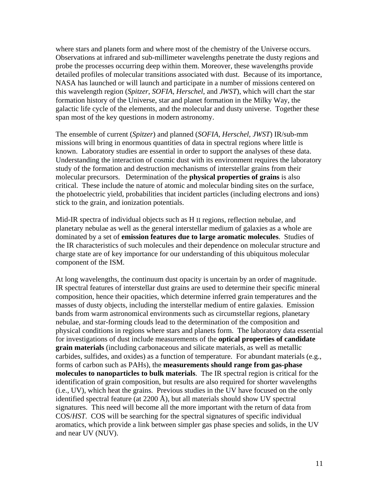where stars and planets form and where most of the chemistry of the Universe occurs. Observations at infrared and sub-millimeter wavelengths penetrate the dusty regions and probe the processes occurring deep within them. Moreover, these wavelengths provide detailed profiles of molecular transitions associated with dust. Because of its importance, NASA has launched or will launch and participate in a number of missions centered on this wavelength region (*Spitzer*, *SOFIA*, *Herschel*, and *JWST*), which will chart the star formation history of the Universe, star and planet formation in the Milky Way, the galactic life cycle of the elements, and the molecular and dusty universe. Together these span most of the key questions in modern astronomy.

The ensemble of current (*Spitzer*) and planned (*SOFIA, Herschel, JWST*) IR/sub-mm missions will bring in enormous quantities of data in spectral regions where little is known. Laboratory studies are essential in order to support the analyses of these data. Understanding the interaction of cosmic dust with its environment requires the laboratory study of the formation and destruction mechanisms of interstellar grains from their molecular precursors. Determination of the **physical properties of grains** is also critical. These include the nature of atomic and molecular binding sites on the surface, the photoelectric yield, probabilities that incident particles (including electrons and ions) stick to the grain, and ionization potentials.

Mid-IR spectra of individual objects such as H II regions, reflection nebulae, and planetary nebulae as well as the general interstellar medium of galaxies as a whole are dominated by a set of **emission features due to large aromatic molecules**. Studies of the IR characteristics of such molecules and their dependence on molecular structure and charge state are of key importance for our understanding of this ubiquitous molecular component of the ISM.

At long wavelengths, the continuum dust opacity is uncertain by an order of magnitude. IR spectral features of interstellar dust grains are used to determine their specific mineral composition, hence their opacities, which determine inferred grain temperatures and the masses of dusty objects, including the interstellar medium of entire galaxies. Emission bands from warm astronomical environments such as circumstellar regions, planetary nebulae, and star-forming clouds lead to the determination of the composition and physical conditions in regions where stars and planets form. The laboratory data essential for investigations of dust include measurements of the **optical properties of candidate grain materials** (including carbonaceous and silicate materials, as well as metallic carbides, sulfides, and oxides) as a function of temperature. For abundant materials (e.g., forms of carbon such as PAHs), the **measurements should range from gas-phase molecules to nanoparticles to bulk materials**. The IR spectral region is critical for the identification of grain composition, but results are also required for shorter wavelengths (i.e., UV), which heat the grains. Previous studies in the UV have focused on the only identified spectral feature (at 2200 Å), but all materials should show UV spectral signatures. This need will become all the more important with the return of data from COS/*HST*. COS will be searching for the spectral signatures of specific individual aromatics, which provide a link between simpler gas phase species and solids, in the UV and near UV (NUV).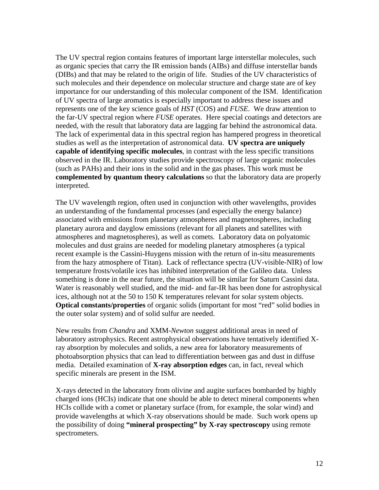The UV spectral region contains features of important large interstellar molecules, such as organic species that carry the IR emission bands (AIBs) and diffuse interstellar bands (DIBs) and that may be related to the origin of life. Studies of the UV characteristics of such molecules and their dependence on molecular structure and charge state are of key importance for our understanding of this molecular component of the ISM. Identification of UV spectra of large aromatics is especially important to address these issues and represents one of the key science goals of *HST* (COS) and *FUSE*. We draw attention to the far-UV spectral region where *FUSE* operates. Here special coatings and detectors are needed, with the result that laboratory data are lagging far behind the astronomical data. The lack of experimental data in this spectral region has hampered progress in theoretical studies as well as the interpretation of astronomical data. **UV spectra are uniquely capable of identifying specific molecules**, in contrast with the less specific transitions observed in the IR. Laboratory studies provide spectroscopy of large organic molecules (such as PAHs) and their ions in the solid and in the gas phases. This work must be **complemented by quantum theory calculations** so that the laboratory data are properly interpreted.

The UV wavelength region, often used in conjunction with other wavelengths, provides an understanding of the fundamental processes (and especially the energy balance) associated with emissions from planetary atmospheres and magnetospheres, including planetary aurora and dayglow emissions (relevant for all planets and satellites with atmospheres and magnetospheres), as well as comets. Laboratory data on polyatomic molecules and dust grains are needed for modeling planetary atmospheres (a typical recent example is the Cassini-Huygens mission with the return of in-situ measurements from the hazy atmosphere of Titan). Lack of reflectance spectra (UV-visible-NIR) of low temperature frosts/volatile ices has inhibited interpretation of the Galileo data. Unless something is done in the near future, the situation will be similar for Saturn Cassini data. Water is reasonably well studied, and the mid- and far-IR has been done for astrophysical ices, although not at the 50 to 150 K temperatures relevant for solar system objects. **Optical constants/properties** of organic solids (important for most "red" solid bodies in the outer solar system) and of solid sulfur are needed.

New results from *Chandra* and XMM-*Newton* suggest additional areas in need of laboratory astrophysics. Recent astrophysical observations have tentatively identified Xray absorption by molecules and solids, a new area for laboratory measurements of photoabsorption physics that can lead to differentiation between gas and dust in diffuse media. Detailed examination of **X-ray absorption edges** can, in fact, reveal which specific minerals are present in the ISM.

X-rays detected in the laboratory from olivine and augite surfaces bombarded by highly charged ions (HCIs) indicate that one should be able to detect mineral components when HCIs collide with a comet or planetary surface (from, for example, the solar wind) and provide wavelengths at which X-ray observations should be made. Such work opens up the possibility of doing **"mineral prospecting" by X-ray spectroscopy** using remote spectrometers.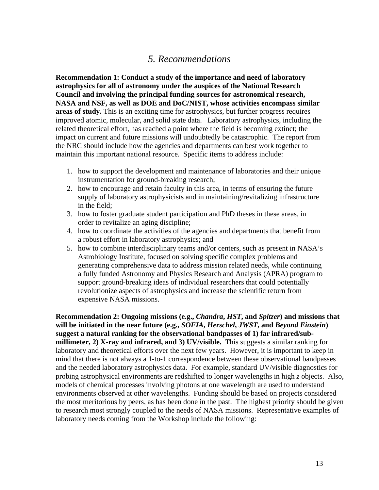# *5. Recommendations*

**Recommendation 1: Conduct a study of the importance and need of laboratory astrophysics for all of astronomy under the auspices of the National Research Council and involving the principal funding sources for astronomical research, NASA and NSF, as well as DOE and DoC/NIST, whose activities encompass similar areas of study.** This is an exciting time for astrophysics, but further progress requires improved atomic, molecular, and solid state data. Laboratory astrophysics, including the related theoretical effort, has reached a point where the field is becoming extinct; the impact on current and future missions will undoubtedly be catastrophic. The report from the NRC should include how the agencies and departments can best work together to maintain this important national resource. Specific items to address include:

- 1. how to support the development and maintenance of laboratories and their unique instrumentation for ground-breaking research;
- 2. how to encourage and retain faculty in this area, in terms of ensuring the future supply of laboratory astrophysicists and in maintaining/revitalizing infrastructure in the field;
- 3. how to foster graduate student participation and PhD theses in these areas, in order to revitalize an aging discipline;
- 4. how to coordinate the activities of the agencies and departments that benefit from a robust effort in laboratory astrophysics; and
- 5. how to combine interdisciplinary teams and/or centers, such as present in NASA's Astrobiology Institute, focused on solving specific complex problems and generating comprehensive data to address mission related needs, while continuing a fully funded Astronomy and Physics Research and Analysis (APRA) program to support ground-breaking ideas of individual researchers that could potentially revolutionize aspects of astrophysics and increase the scientific return from expensive NASA missions.

**Recommendation 2: Ongoing missions (e.g.,** *Chandra***,** *HST***, and** *Spitzer***) and missions that will be initiated in the near future (e.g.,** *SOFIA***,** *Herschel***,** *JWST***, and** *Beyond Einstein***) suggest a natural ranking for the observational bandpasses of 1) far infrared/submillimeter, 2) X-ray and infrared, and 3) UV/visible.** This suggests a similar ranking for laboratory and theoretical efforts over the next few years. However, it is important to keep in mind that there is not always a 1-to-1 correspondence between these observational bandpasses and the needed laboratory astrophysics data. For example, standard UV/visible diagnostics for probing astrophysical environments are redshifted to longer wavelengths in high *z* objects. Also, models of chemical processes involving photons at one wavelength are used to understand environments observed at other wavelengths. Funding should be based on projects considered the most meritorious by peers, as has been done in the past. The highest priority should be given to research most strongly coupled to the needs of NASA missions. Representative examples of laboratory needs coming from the Workshop include the following: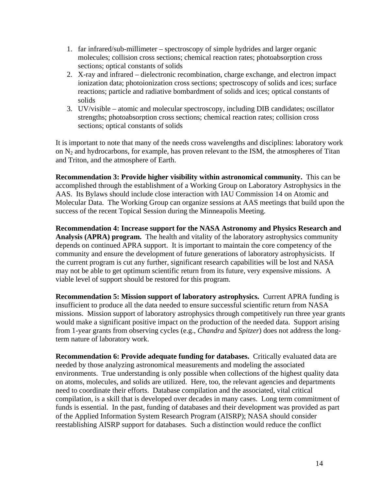- 1. far infrared/sub-millimeter spectroscopy of simple hydrides and larger organic molecules; collision cross sections; chemical reaction rates; photoabsorption cross sections; optical constants of solids
- 2. X-ray and infrared dielectronic recombination, charge exchange, and electron impact ionization data; photoionization cross sections; spectroscopy of solids and ices; surface reactions; particle and radiative bombardment of solids and ices; optical constants of solids
- 3. UV/visible atomic and molecular spectroscopy, including DIB candidates; oscillator strengths; photoabsorption cross sections; chemical reaction rates; collision cross sections; optical constants of solids

It is important to note that many of the needs cross wavelengths and disciplines: laboratory work on  $N_2$  and hydrocarbons, for example, has proven relevant to the ISM, the atmospheres of Titan and Triton, and the atmosphere of Earth.

**Recommendation 3: Provide higher visibility within astronomical community.** This can be accomplished through the establishment of a Working Group on Laboratory Astrophysics in the AAS. Its Bylaws should include close interaction with IAU Commission 14 on Atomic and Molecular Data. The Working Group can organize sessions at AAS meetings that build upon the success of the recent Topical Session during the Minneapolis Meeting.

**Recommendation 4: Increase support for the NASA Astronomy and Physics Research and Analysis (APRA) program.** The health and vitality of the laboratory astrophysics community depends on continued APRA support. It is important to maintain the core competency of the community and ensure the development of future generations of laboratory astrophysicists. If the current program is cut any further, significant research capabilities will be lost and NASA may not be able to get optimum scientific return from its future, very expensive missions. A viable level of support should be restored for this program.

**Recommendation 5: Mission support of laboratory astrophysics.** Current APRA funding is insufficient to produce all the data needed to ensure successful scientific return from NASA missions. Mission support of laboratory astrophysics through competitively run three year grants would make a significant positive impact on the production of the needed data. Support arising from 1-year grants from observing cycles (e.g., *Chandra* and *Spitzer*) does not address the longterm nature of laboratory work.

**Recommendation 6: Provide adequate funding for databases.** Critically evaluated data are needed by those analyzing astronomical measurements and modeling the associated environments. True understanding is only possible when collections of the highest quality data on atoms, molecules, and solids are utilized. Here, too, the relevant agencies and departments need to coordinate their efforts. Database compilation and the associated, vital critical compilation, is a skill that is developed over decades in many cases. Long term commitment of funds is essential. In the past, funding of databases and their development was provided as part of the Applied Information System Research Program (AISRP); NASA should consider reestablishing AISRP support for databases. Such a distinction would reduce the conflict